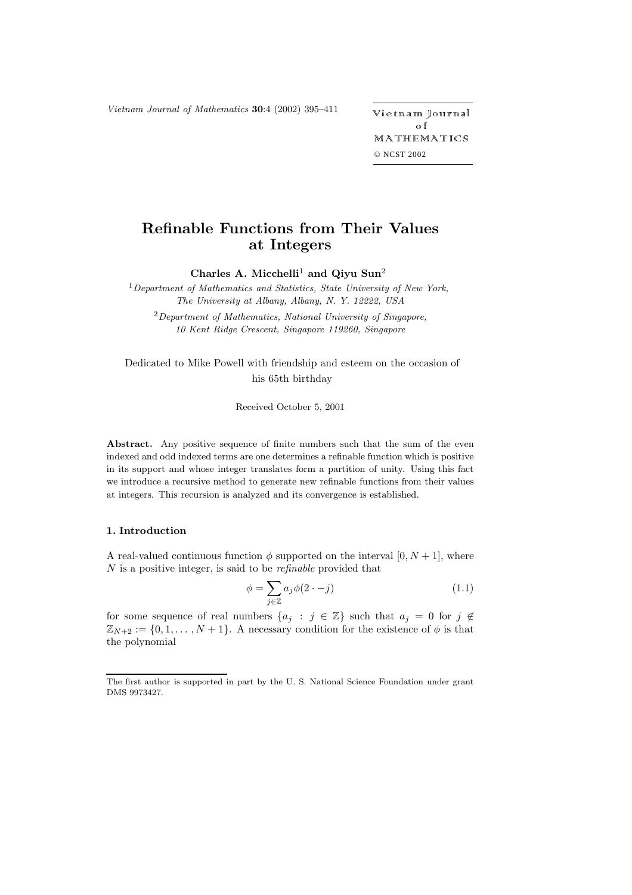*Vietnam Journal of Mathematics* **30**:4 (2002) 395-411

etnam Journal o f MATHEMATICS © NCST 2002

# **Refinable Functions from Their Values at Integers**

**Charles A. Micchelli**<sup>1</sup> **and Qiyu Sun**<sup>2</sup>

<sup>1</sup>*Department of Mathematics and Statistics, State University of New York, The University at Albany, Albany, N. Y. 12222, USA*

<sup>2</sup>*Department of Mathematics, National University of Singapore, 10 Kent Ridge Crescent, Singapore 119260, Singapore*

Dedicated to Mike Powell with friendship and esteem on the occasion of his 65th birthday

Received October 5, 2001

Abstract. Any positive sequence of finite numbers such that the sum of the even indexed and odd indexed terms are one determines a refinable function which is positive in its support and whose integer translates form a partition of unity. Using this fact we introduce a recursive method to generate new refinable functions from their values at integers. This recursion is analyzed and its convergence is established.

## **1. Introduction**

A real-valued continuous function  $\phi$  supported on the interval  $[0, N + 1]$ , where N is a positive integer, is said to be *refinable* provided that

$$
\phi = \sum_{j \in \mathbb{Z}} a_j \phi(2 \cdot -j) \tag{1.1}
$$

for some sequence of real numbers  $\{a_j : j \in \mathbb{Z}\}\$  such that  $a_j = 0$  for  $j \notin \mathbb{Z}\$  $\mathbb{Z}_{N+2} := \{0, 1, \ldots, N+1\}.$  A necessary condition for the existence of  $\phi$  is that the polynomial

The first author is supported in part by the U. S. National Science Foundation under grant DMS 9973427.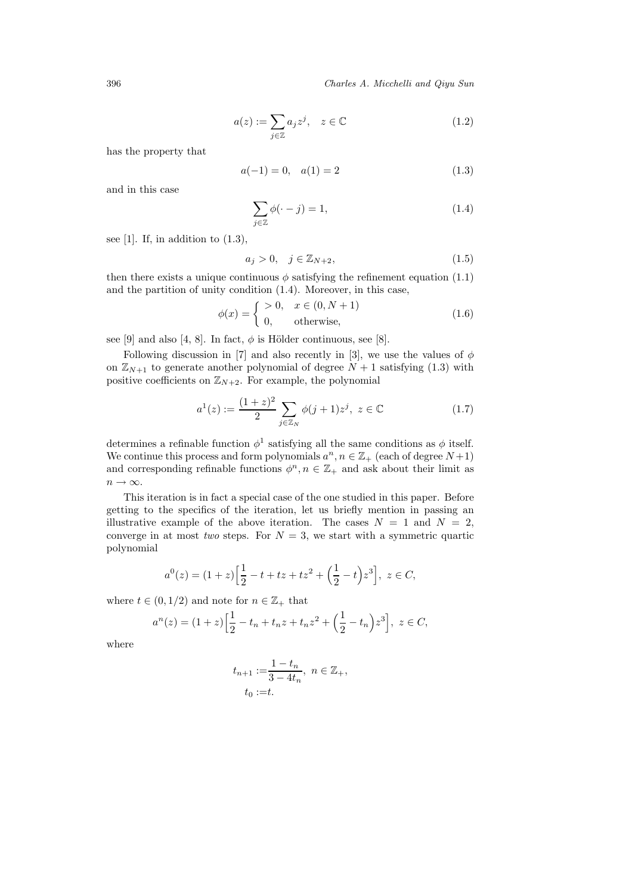396 *Charles A. Micchelli and Qiyu Sun*

$$
a(z) := \sum_{j \in \mathbb{Z}} a_j z^j, \quad z \in \mathbb{C}
$$
 (1.2)

has the property that

$$
a(-1) = 0, \quad a(1) = 2 \tag{1.3}
$$

and in this case

$$
\sum_{j\in\mathbb{Z}} \phi(\cdot - j) = 1,\tag{1.4}
$$

see [1]. If, in addition to  $(1.3)$ ,

$$
a_j > 0, \quad j \in \mathbb{Z}_{N+2},\tag{1.5}
$$

then there exists a unique continuous  $\phi$  satisfying the refinement equation (1.1) and the partition of unity condition (1.4). Moreover, in this case,

$$
\phi(x) = \begin{cases}\n>0, & x \in (0, N+1) \\
0, & \text{otherwise,} \n\end{cases}
$$
\n(1.6)

see [9] and also [4, 8]. In fact,  $\phi$  is Hölder continuous, see [8].

Following discussion in [7] and also recently in [3], we use the values of  $\phi$ on  $\mathbb{Z}_{N+1}$  to generate another polynomial of degree  $N+1$  satisfying (1.3) with positive coefficients on  $\mathbb{Z}_{N+2}$ . For example, the polynomial

$$
a^{1}(z) := \frac{(1+z)^{2}}{2} \sum_{j \in \mathbb{Z}_{N}} \phi(j+1)z^{j}, \ z \in \mathbb{C}
$$
 (1.7)

determines a refinable function  $\phi^1$  satisfying all the same conditions as  $\phi$  itself. We continue this process and form polynomials  $a^n, n \in \mathbb{Z}_+$  (each of degree  $N+1$ ) and corresponding refinable functions  $\phi^n, n \in \mathbb{Z}_+$  and ask about their limit as  $n \to \infty$ .

This iteration is in fact a special case of the one studied in this paper. Before getting to the specifics of the iteration, let us briefly mention in passing an illustrative example of the above iteration. The cases  $N = 1$  and  $N = 2$ , converge in at most *two* steps. For  $N = 3$ , we start with a symmetric quartic polynomial

$$
a^{0}(z) = (1+z)\Big[\frac{1}{2} - t + tz + tz^{2} + \Big(\frac{1}{2} - t\Big)z^{3}\Big], z \in C,
$$

where  $t \in (0, 1/2)$  and note for  $n \in \mathbb{Z}_+$  that

$$
a^{n}(z) = (1+z)\Big[\frac{1}{2} - t_{n} + t_{n}z + t_{n}z^{2} + \Big(\frac{1}{2} - t_{n}\Big)z^{3}\Big], z \in C,
$$

where

$$
t_{n+1} := \frac{1 - t_n}{3 - 4t_n}, \ n \in \mathbb{Z}_+,
$$
  

$$
t_0 := t.
$$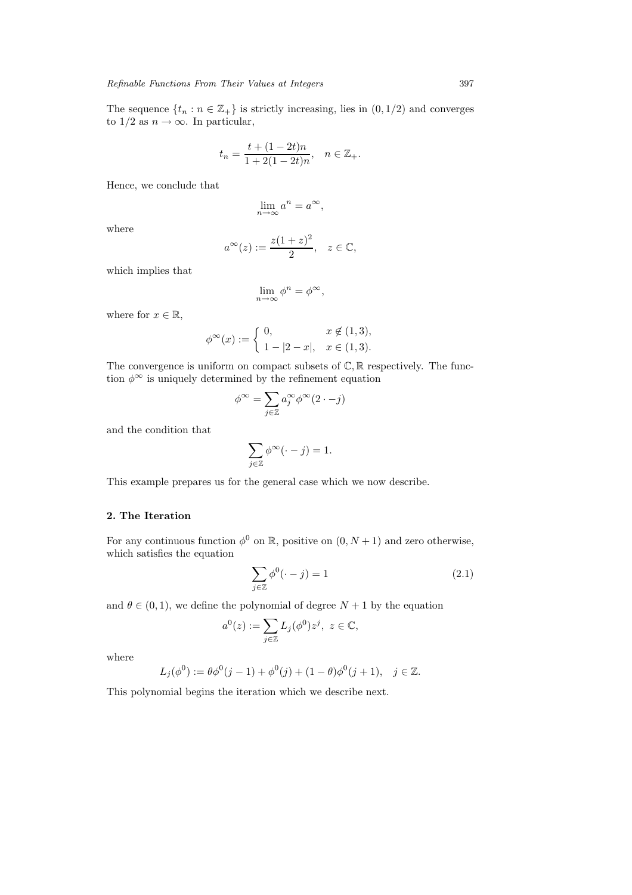The sequence  $\{t_n : n \in \mathbb{Z}_+\}$  is strictly increasing, lies in  $(0, 1/2)$  and converges to  $1/2$  as  $n \to \infty$ . In particular,

$$
t_n = \frac{t + (1 - 2t)n}{1 + 2(1 - 2t)n}, \quad n \in \mathbb{Z}_+.
$$

Hence, we conclude that

$$
\lim_{n \to \infty} a^n = a^{\infty},
$$

where

$$
a^{\infty}(z) := \frac{z(1+z)^2}{2}, \quad z \in \mathbb{C},
$$

which implies that

$$
\lim_{n \to \infty} \phi^n = \phi^{\infty},
$$

where for  $x \in \mathbb{R}$ ,

$$
\phi^{\infty}(x) := \begin{cases} 0, & x \notin (1,3), \\ 1 - |2 - x|, & x \in (1,3). \end{cases}
$$

The convergence is uniform on compact subsets of  $\mathbb{C}, \mathbb{R}$  respectively. The function  $\phi^{\infty}$  is uniquely determined by the refinement equation

$$
\phi^{\infty}=\sum_{j\in\mathbb{Z}}a_j^{\infty}\phi^{\infty}(2\cdot-j)
$$

and the condition that

$$
\sum_{j\in\mathbb{Z}}\phi^\infty(\cdot-j)=1.
$$

This example prepares us for the general case which we now describe.

## **2. The Iteration**

For any continuous function  $\phi^0$  on R, positive on  $(0, N + 1)$  and zero otherwise, which satisfies the equation

$$
\sum_{j\in\mathbb{Z}} \phi^0(\cdot - j) = 1\tag{2.1}
$$

and  $\theta \in (0, 1)$ , we define the polynomial of degree  $N + 1$  by the equation

$$
a^0(z) := \sum_{j \in \mathbb{Z}} L_j(\phi^0) z^j, \ z \in \mathbb{C},
$$

where

$$
L_j(\phi^0) := \theta \phi^0(j-1) + \phi^0(j) + (1-\theta)\phi^0(j+1), \quad j \in \mathbb{Z}.
$$

This polynomial begins the iteration which we describe next.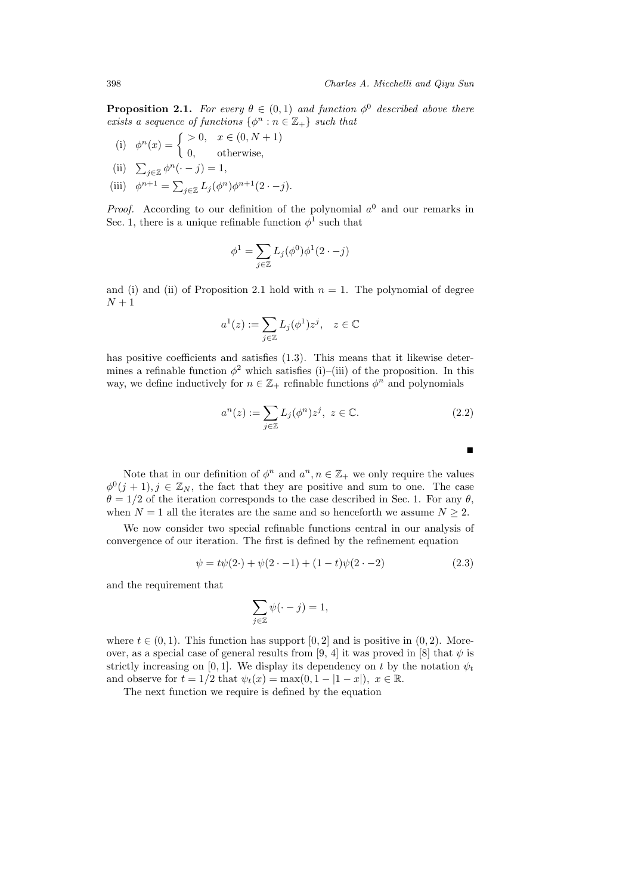**Proposition 2.1.** *For every*  $\theta \in (0,1)$  *and function*  $\phi^0$  *described above there exists a sequence of functions*  $\{\phi^n : n \in \mathbb{Z}_+\}$  *such that* 

- (i)  $\phi^n(x) = \begin{cases} > 0, & x \in (0, N + 1) \\ 0, & \text{otherwise,} \end{cases}$ (ii)  $\sum_{j\in\mathbb{Z}}\phi^n(\cdot-j)=1,$
- (iii)  $\phi^{n+1} = \sum_{j \in \mathbb{Z}} L_j(\phi^n) \phi^{n+1}(2 \cdot -j).$

*Proof.* According to our definition of the polynomial  $a^0$  and our remarks in Sec. 1, there is a unique refinable function  $\phi^1$  such that

$$
\phi^1 = \sum_{j \in \mathbb{Z}} L_j(\phi^0) \phi^1(2 \cdot -j)
$$

and (i) and (ii) of Proposition 2.1 hold with  $n = 1$ . The polynomial of degree  $N+1$ 

$$
a^1(z) := \sum_{j \in \mathbb{Z}} L_j(\phi^1) z^j, \quad z \in \mathbb{C}
$$

has positive coefficients and satisfies  $(1.3)$ . This means that it likewise determines a refinable function  $\phi^2$  which satisfies (i)–(iii) of the proposition. In this way, we define inductively for  $n \in \mathbb{Z}_+$  refinable functions  $\phi^n$  and polynomials

$$
a^n(z) := \sum_{j \in \mathbb{Z}} L_j(\phi^n) z^j, \ z \in \mathbb{C}.\tag{2.2}
$$

-

Note that in our definition of  $\phi^n$  and  $a^n, n \in \mathbb{Z}_+$  we only require the values  $\phi^0(j+1), j \in \mathbb{Z}_N$ , the fact that they are positive and sum to one. The case  $\theta = 1/2$  of the iteration corresponds to the case described in Sec. 1. For any  $\theta$ , when  $N = 1$  all the iterates are the same and so henceforth we assume  $N \geq 2$ .

We now consider two special refinable functions central in our analysis of convergence of our iteration. The first is defined by the refinement equation

$$
\psi = t\psi(2 \cdot) + \psi(2 \cdot -1) + (1 - t)\psi(2 \cdot -2) \tag{2.3}
$$

and the requirement that

$$
\sum_{j\in\mathbb{Z}}\psi(\cdot-j)=1,
$$

where  $t \in (0, 1)$ . This function has support [0, 2] and is positive in  $(0, 2)$ . Moreover, as a special case of general results from [9, 4] it was proved in [8] that  $\psi$  is strictly increasing on [0, 1]. We display its dependency on t by the notation  $\psi_t$ and observe for  $t = 1/2$  that  $\psi_t(x) = \max(0, 1 - |1 - x|), x \in \mathbb{R}$ .

The next function we require is defined by the equation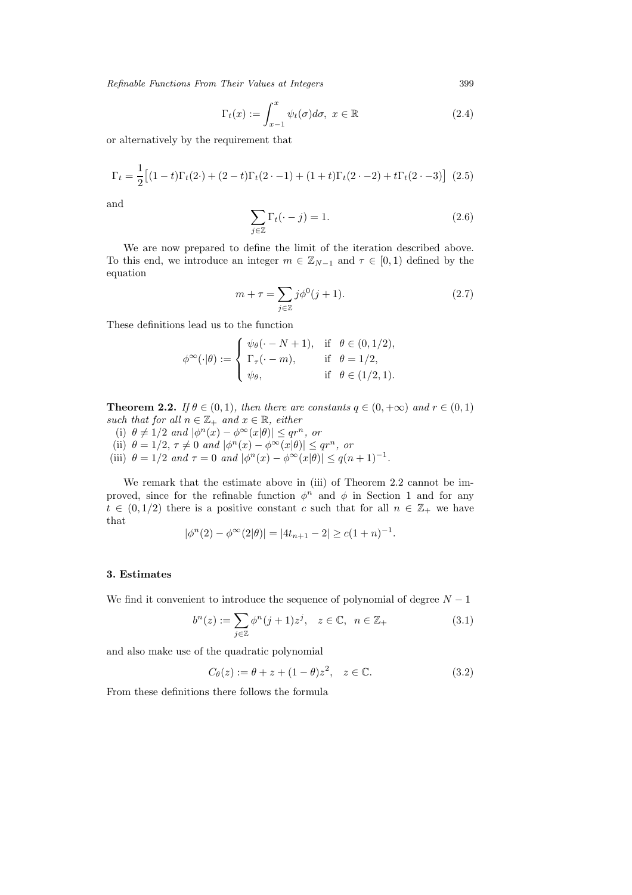$$
\Gamma_t(x) := \int_{x-1}^x \psi_t(\sigma) d\sigma, \ x \in \mathbb{R}
$$
\n(2.4)

or alternatively by the requirement that

$$
\Gamma_t = \frac{1}{2} \left[ (1-t)\Gamma_t(2 \cdot) + (2-t)\Gamma_t(2 \cdot -1) + (1+t)\Gamma_t(2 \cdot -2) + t\Gamma_t(2 \cdot -3) \right] (2.5)
$$

and

$$
\sum_{j \in \mathbb{Z}} \Gamma_t(\cdot - j) = 1. \tag{2.6}
$$

We are now prepared to define the limit of the iteration described above. To this end, we introduce an integer  $m \in \mathbb{Z}_{N-1}$  and  $\tau \in [0,1)$  defined by the equation

$$
m + \tau = \sum_{j \in \mathbb{Z}} j\phi^0(j+1).
$$
 (2.7)

These definitions lead us to the function

$$
\phi^{\infty}(\cdot|\theta) := \left\{ \begin{array}{lcl} \psi_{\theta}(\cdot-N+1), & \text{if} & \theta \in (0,1/2), \\ \Gamma_{\tau}(\cdot-m), & \text{if} & \theta = 1/2, \\ \psi_{\theta}, & \text{if} & \theta \in (1/2,1). \end{array} \right.
$$

**Theorem 2.2.** *If*  $\theta \in (0,1)$ *, then there are constants*  $q \in (0,+\infty)$  *and*  $r \in (0,1)$ *such that for all*  $n \in \mathbb{Z}_+$  *and*  $x \in \mathbb{R}$ *, either* 

(i)  $\theta \neq 1/2$  *and*  $|\phi^n(x) - \phi^\infty(x|\theta)| \leq qr^n$ , *or* 

(ii)  $\theta = 1/2, \tau \neq 0$  *and*  $|\phi^n(x) - \phi^\infty(x|\theta)| \leq qr^n$ , or

(iii)  $\theta = 1/2$  *and*  $\tau = 0$  *and*  $|\phi^n(x) - \phi^\infty(x|\theta)| \le q(n+1)^{-1}$ *.* 

We remark that the estimate above in (iii) of Theorem 2.2 cannot be improved, since for the refinable function  $\phi^n$  and  $\phi$  in Section 1 and for any  $t \in (0, 1/2)$  there is a positive constant c such that for all  $n \in \mathbb{Z}_+$  we have that

$$
|\phi^{n}(2) - \phi^{\infty}(2|\theta)| = |4t_{n+1} - 2| \ge c(1+n)^{-1}.
$$

## **3. Estimates**

We find it convenient to introduce the sequence of polynomial of degree  $N-1$ 

$$
b^{n}(z) := \sum_{j \in \mathbb{Z}} \phi^{n}(j+1)z^{j}, \quad z \in \mathbb{C}, \ \ n \in \mathbb{Z}_{+}
$$
 (3.1)

and also make use of the quadratic polynomial

$$
C_{\theta}(z) := \theta + z + (1 - \theta)z^{2}, \quad z \in \mathbb{C}.
$$
 (3.2)

From these definitions there follows the formula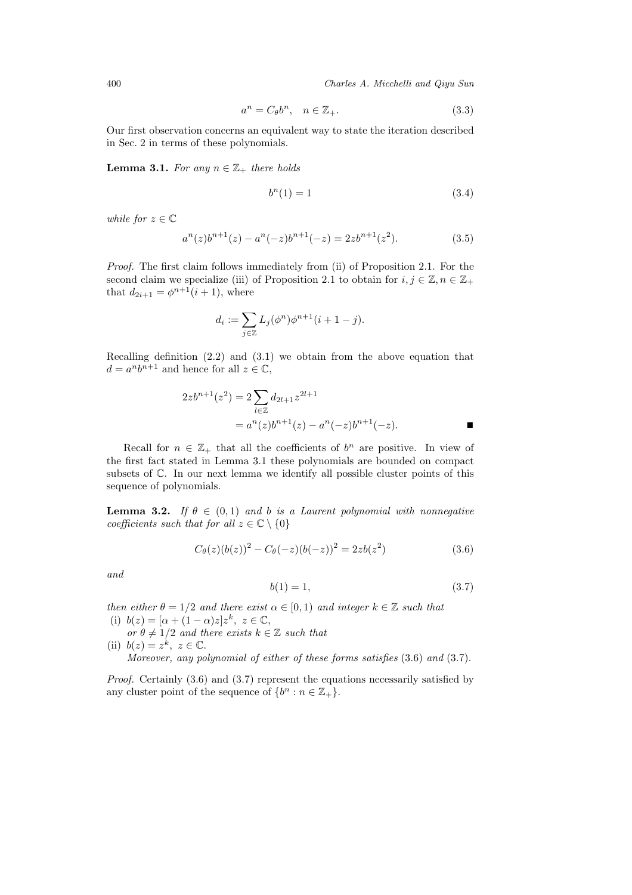$$
a^n = C_\theta b^n, \quad n \in \mathbb{Z}_+.
$$
\n
$$
(3.3)
$$

Our first observation concerns an equivalent way to state the iteration described in Sec. 2 in terms of these polynomials.

**Lemma 3.1.** *For any*  $n \in \mathbb{Z}_+$  *there holds* 

$$
b^n(1) = 1\tag{3.4}
$$

*while for*  $z \in \mathbb{C}$ 

$$
a^{n}(z)b^{n+1}(z) - a^{n}(-z)b^{n+1}(-z) = 2zb^{n+1}(z^{2}).
$$
\n(3.5)

*Proof.* The first claim follows immediately from (ii) of Proposition 2.1. For the second claim we specialize (iii) of Proposition 2.1 to obtain for  $i, j \in \mathbb{Z}, n \in \mathbb{Z}_+$ that  $d_{2i+1} = \phi^{n+1}(i+1)$ , where

$$
d_i := \sum_{j \in \mathbb{Z}} L_j(\phi^n) \phi^{n+1} (i+1-j).
$$

Recalling definition (2.2) and (3.1) we obtain from the above equation that  $d = a^n b^{n+1}$  and hence for all  $z \in \mathbb{C}$ ,

$$
2zb^{n+1}(z^2) = 2\sum_{l\in\mathbb{Z}} d_{2l+1}z^{2l+1}
$$
  
=  $a^n(z)b^{n+1}(z) - a^n(-z)b^{n+1}(-z)$ .

Recall for  $n \in \mathbb{Z}_+$  that all the coefficients of  $b^n$  are positive. In view of the first fact stated in Lemma 3.1 these polynomials are bounded on compact subsets of C. In our next lemma we identify all possible cluster points of this sequence of polynomials.

**Lemma 3.2.** *If*  $\theta \in (0,1)$  *and b is a Laurent polynomial with nonnegative coefficients such that for all*  $z \in \mathbb{C} \setminus \{0\}$ 

$$
C_{\theta}(z)(b(z))^{2} - C_{\theta}(-z)(b(-z))^{2} = 2zb(z^{2})
$$
\n(3.6)

*and*

$$
b(1) = 1,\tag{3.7}
$$

*then either*  $\theta = 1/2$  *and there exist*  $\alpha \in [0, 1)$  *and integer*  $k \in \mathbb{Z}$  *such that* (i)  $b(z)=[\alpha+(1-\alpha)z]z^k, z \in \mathbb{C},$ 

 $or \theta \neq 1/2$  *and there exists*  $k \in \mathbb{Z}$  *such that* (ii)  $b(z) = z^k$ ,  $z \in \mathbb{C}$ .

*Moreover, any polynomial of either of these forms satisfies* (3.6) *and* (3.7).

*Proof.* Certainly  $(3.6)$  and  $(3.7)$  represent the equations necessarily satisfied by any cluster point of the sequence of  $\{b^n : n \in \mathbb{Z}_+\}.$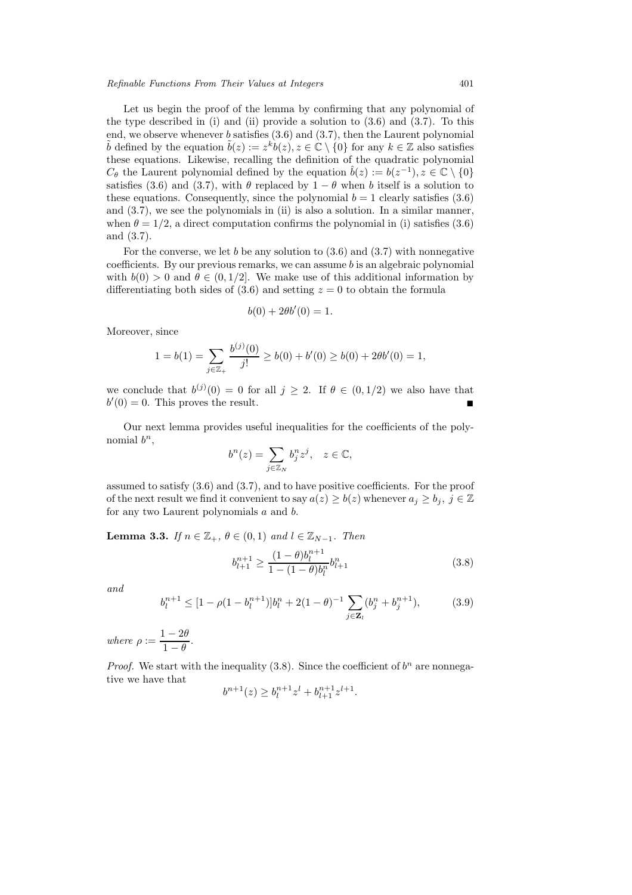Let us begin the proof of the lemma by confirming that any polynomial of the type described in (i) and (ii) provide a solution to  $(3.6)$  and  $(3.7)$ . To this end, we observe whenever b satisfies (3.6) and (3.7), then the Laurent polynomial  $\tilde{b}$  defined by the equation  $\tilde{b}(z) := z^k b(z), z \in \mathbb{C} \setminus \{0\}$  for any  $k \in \mathbb{Z}$  also satisfies these equations. Likewise, recalling the definition of the quadratic polynomial  $C_{\theta}$  the Laurent polynomial defined by the equation  $\hat{b}(z) := b(z^{-1}), z \in \mathbb{C} \setminus \{0\}$ satisfies (3.6) and (3.7), with  $\theta$  replaced by  $1 - \theta$  when b itself is a solution to these equations. Consequently, since the polynomial  $b = 1$  clearly satisfies (3.6) and (3.7), we see the polynomials in (ii) is also a solution. In a similar manner, when  $\theta = 1/2$ , a direct computation confirms the polynomial in (i) satisfies (3.6) and (3.7).

For the converse, we let b be any solution to  $(3.6)$  and  $(3.7)$  with nonnegative coefficients. By our previous remarks, we can assume  $b$  is an algebraic polynomial with  $b(0) > 0$  and  $\theta \in (0, 1/2]$ . We make use of this additional information by differentiating both sides of  $(3.6)$  and setting  $z = 0$  to obtain the formula

$$
b(0) + 2\theta b'(0) = 1.
$$

Moreover, since

$$
1 = b(1) = \sum_{j \in \mathbb{Z}_+} \frac{b^{(j)}(0)}{j!} \ge b(0) + b'(0) \ge b(0) + 2\theta b'(0) = 1,
$$

we conclude that  $b^{(j)}(0) = 0$  for all  $j \geq 2$ . If  $\theta \in (0, 1/2)$  we also have that  $b'(0) = 0$ . This proves the result.

Our next lemma provides useful inequalities for the coefficients of the polynomial  $b^n$ ,

$$
b^n(z) = \sum_{j \in \mathbb{Z}_N} b_j^n z^j, \quad z \in \mathbb{C},
$$

assumed to satisfy (3.6) and (3.7), and to have positive coefficients. For the proof of the next result we find it convenient to say  $a(z) \ge b(z)$  whenever  $a_i \ge b_i$ ,  $j \in \mathbb{Z}$ for any two Laurent polynomials a and b.

**Lemma 3.3.** *If*  $n \in \mathbb{Z}_+$ ,  $\theta \in (0,1)$  *and*  $l \in \mathbb{Z}_{N-1}$ *. Then* 

$$
b_{l+1}^{n+1} \ge \frac{(1-\theta)b_l^{n+1}}{1-(1-\theta)b_l^n}b_{l+1}^n
$$
\n(3.8)

*and*

$$
b_l^{n+1} \le [1 - \rho (1 - b_l^{n+1})]b_l^n + 2(1 - \theta)^{-1} \sum_{j \in \mathbf{Z}_l} (b_j^n + b_j^{n+1}), \tag{3.9}
$$

*where*  $\rho := \frac{1 - 2\theta}{1 - \theta}$ .

*Proof.* We start with the inequality  $(3.8)$ . Since the coefficient of  $b^n$  are nonnegative we have that

$$
b^{n+1}(z) \ge b_l^{n+1} z^l + b_{l+1}^{n+1} z^{l+1}.
$$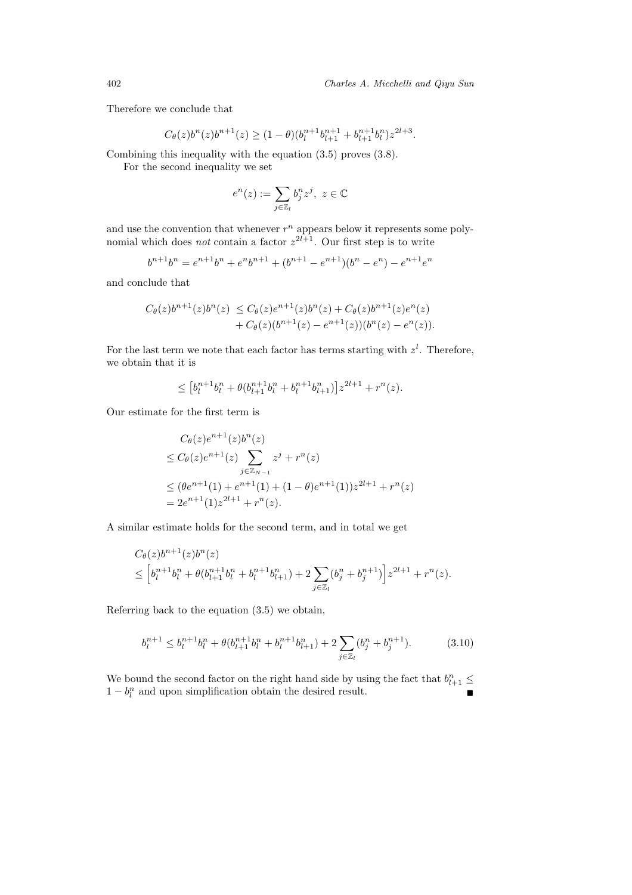Therefore we conclude that

$$
C_{\theta}(z)b^{n}(z)b^{n+1}(z) \ge (1-\theta)(b_{l}^{n+1}b_{l+1}^{n+1} + b_{l+1}^{n+1}b_{l}^{n})z^{2l+3}.
$$

Combining this inequality with the equation (3.5) proves (3.8).

For the second inequality we set

$$
e^n(z) := \sum_{j \in \mathbb{Z}_l} b_j^n z^j, \ z \in \mathbb{C}
$$

and use the convention that whenever  $r^n$  appears below it represents some polynomial which does *not* contain a factor  $z^{2l+1}$ . Our first step is to write

$$
b^{n+1}b^n = e^{n+1}b^n + e^nb^{n+1} + (b^{n+1} - e^{n+1})(b^n - e^n) - e^{n+1}e^n
$$

and conclude that

$$
C_{\theta}(z)b^{n+1}(z)b^{n}(z) \leq C_{\theta}(z)e^{n+1}(z)b^{n}(z) + C_{\theta}(z)b^{n+1}(z)e^{n}(z) + C_{\theta}(z)(b^{n+1}(z) - e^{n+1}(z))(b^{n}(z) - e^{n}(z)).
$$

For the last term we note that each factor has terms starting with  $z<sup>l</sup>$ . Therefore, we obtain that it is

$$
\leq [b_l^{n+1}b_l^n + \theta(b_{l+1}^{n+1}b_l^n + b_l^{n+1}b_{l+1}^n)]z^{2l+1} + r^n(z).
$$

Our estimate for the first term is

$$
C_{\theta}(z)e^{n+1}(z)b^{n}(z)
$$
  
\n
$$
\leq C_{\theta}(z)e^{n+1}(z)\sum_{j\in\mathbb{Z}_{N-1}}z^{j}+r^{n}(z)
$$
  
\n
$$
\leq (\theta e^{n+1}(1)+e^{n+1}(1)+(1-\theta)e^{n+1}(1))z^{2l+1}+r^{n}(z)
$$
  
\n
$$
=2e^{n+1}(1)z^{2l+1}+r^{n}(z).
$$

A similar estimate holds for the second term, and in total we get

$$
C_{\theta}(z)b^{n+1}(z)b^{n}(z) = \left[b_{l}^{n+1}b_{l}^{n} + \theta(b_{l+1}^{n+1}b_{l}^{n} + b_{l}^{n+1}b_{l+1}^{n}) + 2\sum_{j\in\mathbb{Z}_{l}}(b_{j}^{n} + b_{j}^{n+1})\right]z^{2l+1} + r^{n}(z).
$$

Referring back to the equation (3.5) we obtain,

$$
b_l^{n+1} \le b_l^{n+1} b_l^n + \theta (b_{l+1}^{n+1} b_l^n + b_l^{n+1} b_{l+1}^n) + 2 \sum_{j \in \mathbb{Z}_l} (b_j^n + b_j^{n+1}). \tag{3.10}
$$

We bound the second factor on the right hand side by using the fact that  $b_{l+1}^n \leq$  $1 - b_l^n$  and upon simplification obtain the desired result.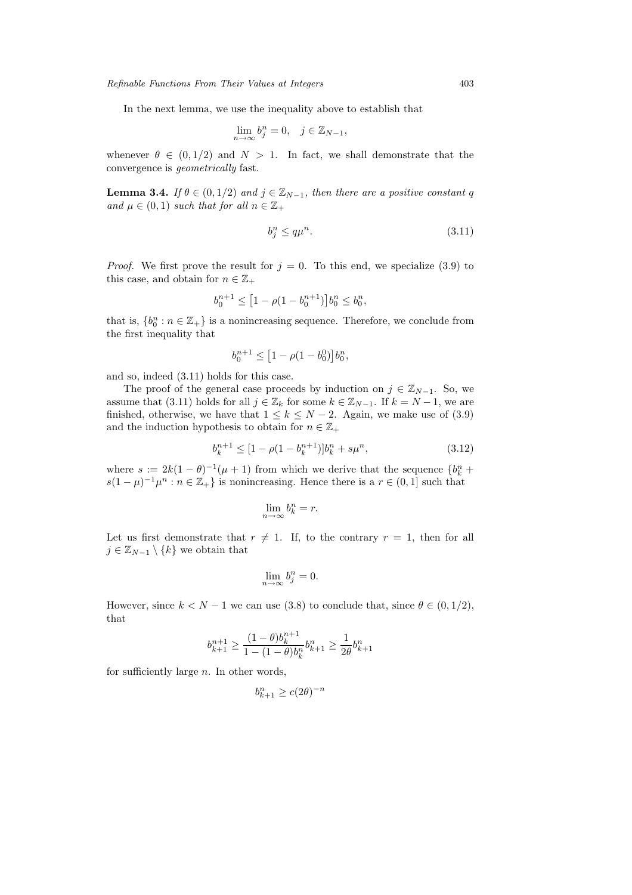In the next lemma, we use the inequality above to establish that

$$
\lim_{n \to \infty} b_j^n = 0, \quad j \in \mathbb{Z}_{N-1},
$$

whenever  $\theta \in (0, 1/2)$  and  $N > 1$ . In fact, we shall demonstrate that the convergence is *geometrically* fast.

**Lemma 3.4.** *If*  $\theta \in (0, 1/2)$  *and*  $j \in \mathbb{Z}_{N-1}$ *, then there are a positive constant* q *and*  $\mu \in (0,1)$  *such that for all*  $n \in \mathbb{Z}_+$ 

$$
b_j^n \le q\mu^n. \tag{3.11}
$$

*Proof.* We first prove the result for  $j = 0$ . To this end, we specialize (3.9) to this case, and obtain for  $n \in \mathbb{Z}_+$ 

$$
b_0^{n+1} \le \left[1 - \rho(1 - b_0^{n+1})\right]b_0^n \le b_0^n,
$$

that is,  $\{b_0^n : n \in \mathbb{Z}_+\}$  is a nonincreasing sequence. Therefore, we conclude from the first inequality that

$$
b_0^{n+1}\leq \big[1-\rho(1-b_0^0)\big]b_0^n,
$$

and so, indeed (3.11) holds for this case.

The proof of the general case proceeds by induction on  $j \in \mathbb{Z}_{N-1}$ . So, we assume that (3.11) holds for all  $j \in \mathbb{Z}_k$  for some  $k \in \mathbb{Z}_{N-1}$ . If  $k = N-1$ , we are finished, otherwise, we have that  $1 \leq k \leq N-2$ . Again, we make use of (3.9) and the induction hypothesis to obtain for  $n \in \mathbb{Z}_+$ 

$$
b_k^{n+1} \le [1 - \rho(1 - b_k^{n+1})]b_k^n + s\mu^n,
$$
\n(3.12)

where  $s := 2k(1 - \theta)^{-1}(\mu + 1)$  from which we derive that the sequence  $\{b_k^n + b_k\}$  $s(1-\mu)^{-1}\mu^n : n \in \mathbb{Z}_+$  is nonincreasing. Hence there is a  $r \in (0,1]$  such that

$$
\lim_{n \to \infty} b_k^n = r.
$$

Let us first demonstrate that  $r \neq 1$ . If, to the contrary  $r = 1$ , then for all  $j \in \mathbb{Z}_{N-1} \setminus \{k\}$  we obtain that

$$
\lim_{n \to \infty} b_j^n = 0.
$$

However, since  $k < N - 1$  we can use (3.8) to conclude that, since  $\theta \in (0, 1/2)$ , that

$$
b^{n+1}_{k+1}\geq \frac{(1-\theta)b^{n+1}_{k}}{1-(1-\theta)b^{n}_{k}}b^{n}_{k+1}\geq \frac{1}{2\theta}b^{n}_{k+1}
$$

for sufficiently large  $n$ . In other words,

$$
b_{k+1}^n \ge c(2\theta)^{-n}
$$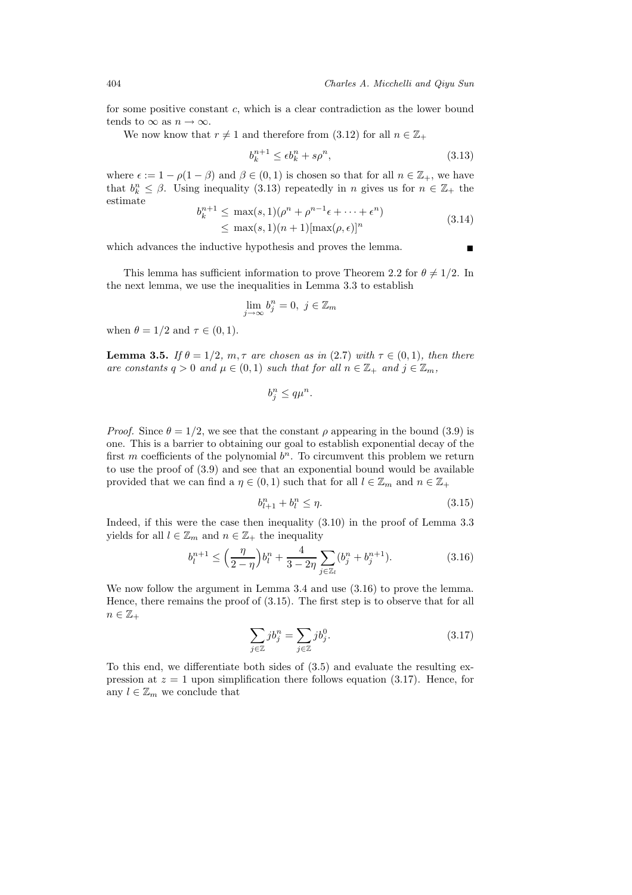for some positive constant  $c$ , which is a clear contradiction as the lower bound tends to  $\infty$  as  $n \to \infty$ .

We now know that  $r \neq 1$  and therefore from (3.12) for all  $n \in \mathbb{Z}_+$ 

$$
b_k^{n+1} \le \epsilon b_k^n + s\rho^n,\tag{3.13}
$$

where  $\epsilon := 1 - \rho(1 - \beta)$  and  $\beta \in (0, 1)$  is chosen so that for all  $n \in \mathbb{Z}_+$ , we have that  $b_k^n \leq \beta$ . Using inequality (3.13) repeatedly in n gives us for  $n \in \mathbb{Z}_+$  the estimate

$$
b_k^{n+1} \le \max(s, 1)(\rho^n + \rho^{n-1}\epsilon + \dots + \epsilon^n)
$$
  
 
$$
\le \max(s, 1)(n+1)[\max(\rho, \epsilon)]^n
$$
 (3.14)

which advances the inductive hypothesis and proves the lemma.

This lemma has sufficient information to prove Theorem 2.2 for  $\theta \neq 1/2$ . In the next lemma, we use the inequalities in Lemma 3.3 to establish

$$
\lim_{j \to \infty} b_j^n = 0, \ j \in \mathbb{Z}_m
$$

when  $\theta = 1/2$  and  $\tau \in (0, 1)$ .

**Lemma 3.5.** *If*  $\theta = 1/2$ *, m, t are chosen as in* (2.7) *with*  $\tau \in (0,1)$ *, then there are constants*  $q > 0$  *and*  $\mu \in (0, 1)$  *such that for all*  $n \in \mathbb{Z}_+$  *and*  $j \in \mathbb{Z}_m$ *,* 

$$
b_j^n \le q\mu^n.
$$

*Proof.* Since  $\theta = 1/2$ , we see that the constant  $\rho$  appearing in the bound (3.9) is one. This is a barrier to obtaining our goal to establish exponential decay of the first m coefficients of the polynomial  $b<sup>n</sup>$ . To circumvent this problem we return to use the proof of (3.9) and see that an exponential bound would be available provided that we can find a  $\eta \in (0,1)$  such that for all  $l \in \mathbb{Z}_m$  and  $n \in \mathbb{Z}_+$ 

$$
b_{l+1}^n + b_l^n \le \eta. \tag{3.15}
$$

Indeed, if this were the case then inequality (3.10) in the proof of Lemma 3.3 yields for all  $l \in \mathbb{Z}_m$  and  $n \in \mathbb{Z}_+$  the inequality

$$
b_l^{n+1} \le \left(\frac{\eta}{2-\eta}\right) b_l^n + \frac{4}{3-2\eta} \sum_{j \in \mathbb{Z}_l} (b_j^n + b_j^{n+1}). \tag{3.16}
$$

We now follow the argument in Lemma 3.4 and use (3.16) to prove the lemma. Hence, there remains the proof of (3.15). The first step is to observe that for all  $n \in \mathbb{Z}_+$ 

$$
\sum_{j\in\mathbb{Z}} jb_j^n = \sum_{j\in\mathbb{Z}} jb_j^0.
$$
\n(3.17)

To this end, we differentiate both sides of (3.5) and evaluate the resulting expression at  $z = 1$  upon simplification there follows equation (3.17). Hence, for any  $l \in \mathbb{Z}_m$  we conclude that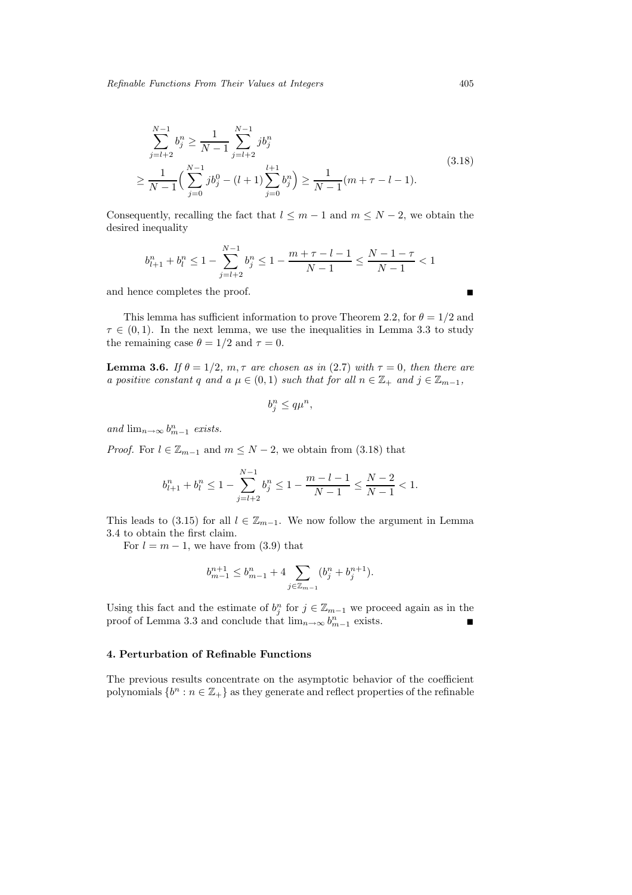$$
\sum_{j=l+2}^{N-1} b_j^n \ge \frac{1}{N-1} \sum_{j=l+2}^{N-1} j b_j^n
$$
\n
$$
\ge \frac{1}{N-1} \Big( \sum_{j=0}^{N-1} j b_j^0 - (l+1) \sum_{j=0}^{l+1} b_j^n \Big) \ge \frac{1}{N-1} (m + \tau - l - 1).
$$
\n(3.18)

Consequently, recalling the fact that  $l \leq m-1$  and  $m \leq N-2$ , we obtain the desired inequality

$$
b_{l+1}^n + b_l^n \le 1 - \sum_{j=l+2}^{N-1} b_j^n \le 1 - \frac{m+\tau-l-1}{N-1} \le \frac{N-1-\tau}{N-1} < 1
$$

and hence completes the proof.

This lemma has sufficient information to prove Theorem 2.2, for  $\theta = 1/2$  and  $\tau \in (0, 1)$ . In the next lemma, we use the inequalities in Lemma 3.3 to study the remaining case  $\theta = 1/2$  and  $\tau = 0$ .

**Lemma 3.6.** *If*  $\theta = 1/2$ *, m, t are chosen as in* (2.7) *with*  $\tau = 0$ *, then there are a positive constant* q *and*  $a \mu \in (0, 1)$  *such that for all*  $n \in \mathbb{Z}_+$  *and*  $j \in \mathbb{Z}_{m-1}$ *,* 

$$
b_i^n \le q \mu^n,
$$

*and*  $\lim_{n\to\infty} b_{m-1}^n$  *exists.* 

*Proof.* For  $l \in \mathbb{Z}_{m-1}$  and  $m \leq N-2$ , we obtain from (3.18) that

$$
b_{l+1}^n+b_l^n\leq 1-\sum_{j=l+2}^{N-1}b_j^n\leq 1-\frac{m-l-1}{N-1}\leq \frac{N-2}{N-1}<1.
$$

This leads to (3.15) for all  $l \in \mathbb{Z}_{m-1}$ . We now follow the argument in Lemma 3.4 to obtain the first claim.

For  $l = m - 1$ , we have from (3.9) that

$$
b_{m-1}^{n+1} \le b_{m-1}^n + 4 \sum_{j \in \mathbb{Z}_{m-1}} (b_j^n + b_j^{n+1}).
$$

Using this fact and the estimate of  $b_j^n$  for  $j \in \mathbb{Z}_{m-1}$  we proceed again as in the proof of Lemma 3.3 and conclude that  $\lim_{n\to\infty} b_{m-1}^n$  exists.

#### **4. Perturbation of Refinable Functions**

The previous results concentrate on the asymptotic behavior of the coefficient polynomials  $\{b^n : n \in \mathbb{Z}_+\}$  as they generate and reflect properties of the refinable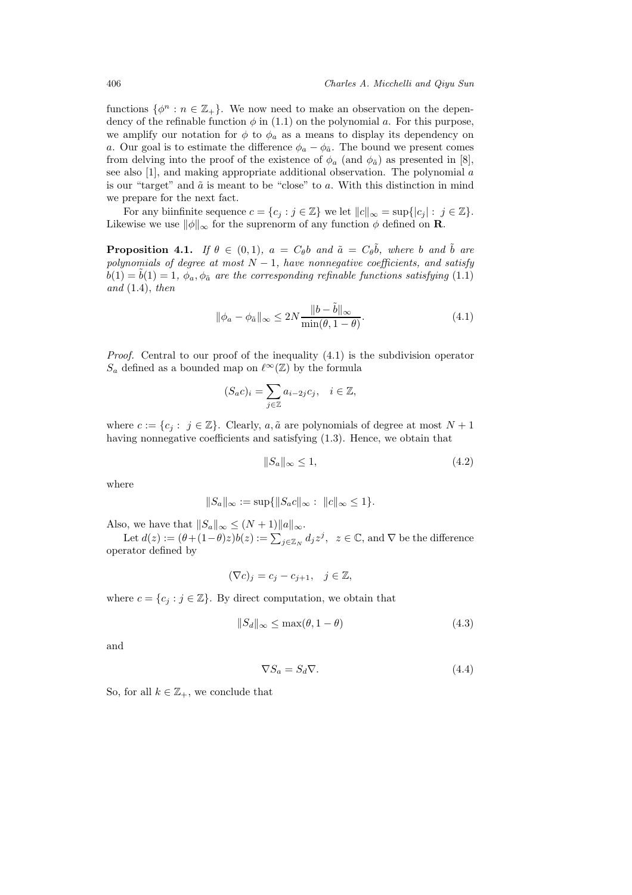functions  $\{\phi^n : n \in \mathbb{Z}_+\}$ . We now need to make an observation on the dependency of the refinable function  $\phi$  in (1.1) on the polynomial a. For this purpose, we amplify our notation for  $\phi$  to  $\phi_a$  as a means to display its dependency on a. Our goal is to estimate the difference  $\phi_a - \phi_{\tilde{a}}$ . The bound we present comes from delving into the proof of the existence of  $\phi_a$  (and  $\phi_{\tilde{a}}$ ) as presented in [8], see also [1], and making appropriate additional observation. The polynomial  $\alpha$ is our "target" and  $\tilde{a}$  is meant to be "close" to  $a$ . With this distinction in mind we prepare for the next fact.

For any biinfinite sequence  $c = \{c_j : j \in \mathbb{Z}\}\$ we let  $||c||_{\infty} = \sup\{|c_j| : j \in \mathbb{Z}\}\$ . Likewise we use  $\|\phi\|_{\infty}$  for the suprenorm of any function  $\phi$  defined on **R**.

**Proposition 4.1.** *If*  $\theta \in (0,1)$ *,*  $a = C_{\theta}b$  *and*  $\tilde{a} = C_{\theta}\tilde{b}$ *, where* b *and*  $\tilde{b}$  *are polynomials of degree at most*  $N-1$ *, have nonnegative coefficients, and satisfy*  $b(1) = \tilde{b}(1) = 1$ ,  $\phi_a$ ,  $\phi_{\tilde{a}}$  *are the corresponding refinable functions satisfying* (1.1) *and* (1.4), *then*

$$
\|\phi_a - \phi_{\tilde{a}}\|_{\infty} \le 2N \frac{\|b - \tilde{b}\|_{\infty}}{\min(\theta, 1 - \theta)}.
$$
\n(4.1)

*Proof.* Central to our proof of the inequality  $(4.1)$  is the subdivision operator  $S_a$  defined as a bounded map on  $\ell^{\infty}(\mathbb{Z})$  by the formula

$$
(S_a c)_i = \sum_{j \in \mathbb{Z}} a_{i-2j} c_j, \quad i \in \mathbb{Z},
$$

where  $c := \{c_i : j \in \mathbb{Z}\}\.$  Clearly,  $a, \tilde{a}$  are polynomials of degree at most  $N + 1$ having nonnegative coefficients and satisfying  $(1.3)$ . Hence, we obtain that

$$
||S_a||_{\infty} \le 1,\tag{4.2}
$$

where

$$
||S_a||_{\infty} := \sup \{ ||S_a c||_{\infty} : ||c||_{\infty} \le 1 \}.
$$

Also, we have that  $||S_a||_{\infty} \leq (N+1)||a||_{\infty}$ .

Let  $d(z) := (\theta + (1-\theta)z)b(z) := \sum_{j\in\mathbb{Z}_N} d_j z^j$ ,  $z \in \mathbb{C}$ , and  $\nabla$  be the difference operator defined by

$$
(\nabla c)_j = c_j - c_{j+1}, \quad j \in \mathbb{Z},
$$

where  $c = \{c_j : j \in \mathbb{Z}\}\.$  By direct computation, we obtain that

$$
||S_d||_{\infty} \le \max(\theta, 1 - \theta) \tag{4.3}
$$

and

$$
\nabla S_a = S_d \nabla. \tag{4.4}
$$

So, for all  $k \in \mathbb{Z}_+$ , we conclude that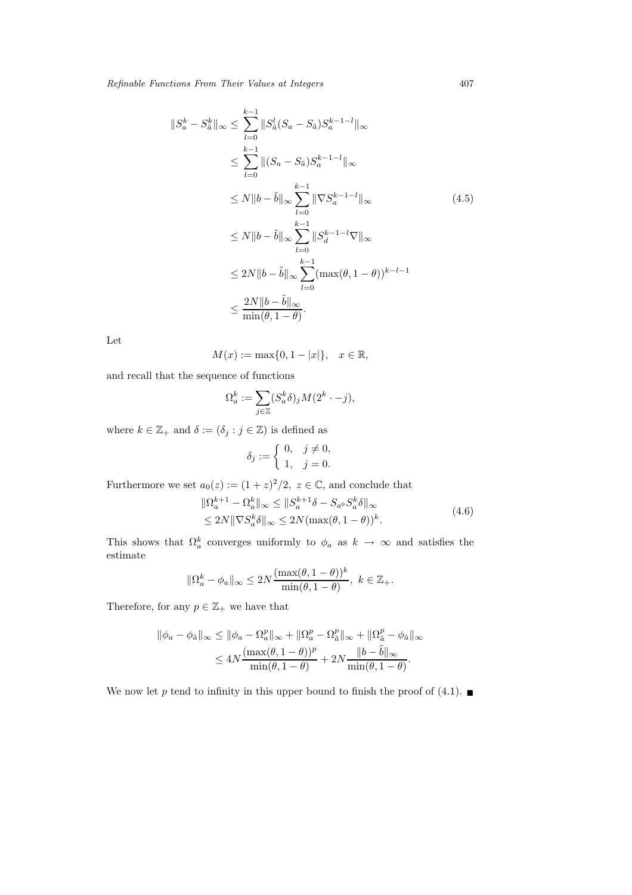$$
||S_{a}^{k} - S_{\tilde{a}}^{k}||_{\infty} \leq \sum_{l=0}^{k-1} ||S_{\tilde{a}}^{l}(S_{a} - S_{\tilde{a}})S_{a}^{k-1-l}||_{\infty}
$$
  
\n
$$
\leq \sum_{l=0}^{k-1} ||(S_{a} - S_{\tilde{a}})S_{a}^{k-1-l}||_{\infty}
$$
  
\n
$$
\leq N||b - \tilde{b}||_{\infty} \sum_{l=0}^{k-1} ||\nabla S_{a}^{k-1-l}||_{\infty}
$$
  
\n
$$
\leq N||b - \tilde{b}||_{\infty} \sum_{l=0}^{k-1} ||S_{d}^{k-1-l}\nabla||_{\infty}
$$
  
\n
$$
\leq 2N||b - \tilde{b}||_{\infty} \sum_{l=0}^{k-1} (\max(\theta, 1 - \theta))^{k-l-1}
$$
  
\n
$$
\leq \frac{2N||b - \tilde{b}||_{\infty}}{\min(\theta, 1 - \theta)}.
$$
  
\n(4.5)

Let

$$
M(x) := \max\{0, 1 - |x|\}, \quad x \in \mathbb{R},
$$

and recall that the sequence of functions

$$
\Omega_a^k:=\sum_{j\in\mathbb{Z}}(S_a^k\delta)_jM(2^k\cdot-j),
$$

where  $k \in \mathbb{Z}_+$  and  $\delta := (\delta_j : j \in \mathbb{Z})$  is defined as

$$
\delta_j := \begin{cases} 0, & j \neq 0, \\ 1, & j = 0. \end{cases}
$$

Furthermore we set  $a_0(z) := (1+z)^2/2$ ,  $z \in \mathbb{C}$ , and conclude that

$$
\|\Omega_a^{k+1} - \Omega_a^k\|_{\infty} \le \|S_a^{k+1}\delta - S_{a^0}S_a^k\delta\|_{\infty}
$$
  
\n
$$
\le 2N \|\nabla S_a^k \delta\|_{\infty} \le 2N (\max(\theta, 1 - \theta))^k.
$$
\n(4.6)

This shows that  $\Omega_a^k$  converges uniformly to  $\phi_a$  as  $k \to \infty$  and satisfies the estimate

$$
\|\Omega^k_a-\phi_a\|_\infty\leq 2N\frac{(\max(\theta,1-\theta))^k}{\min(\theta,1-\theta)},\ k\in\mathbb{Z}_+.
$$

Therefore, for any  $p \in \mathbb{Z}_+$  we have that

$$
\begin{aligned} \|\phi_a - \phi_{\tilde{a}}\|_{\infty} &\leq \|\phi_a - \Omega_a^p\|_{\infty} + \|\Omega_a^p - \Omega_{\tilde{a}}^p\|_{\infty} + \|\Omega_{\tilde{a}}^p - \phi_{\tilde{a}}\|_{\infty} \\ &\leq 4N \frac{(\max(\theta, 1-\theta))^p}{\min(\theta, 1-\theta)} + 2N \frac{\|b - \tilde{b}\|_{\infty}}{\min(\theta, 1-\theta)}. \end{aligned}
$$

We now let p tend to infinity in this upper bound to finish the proof of (4.1).  $\blacksquare$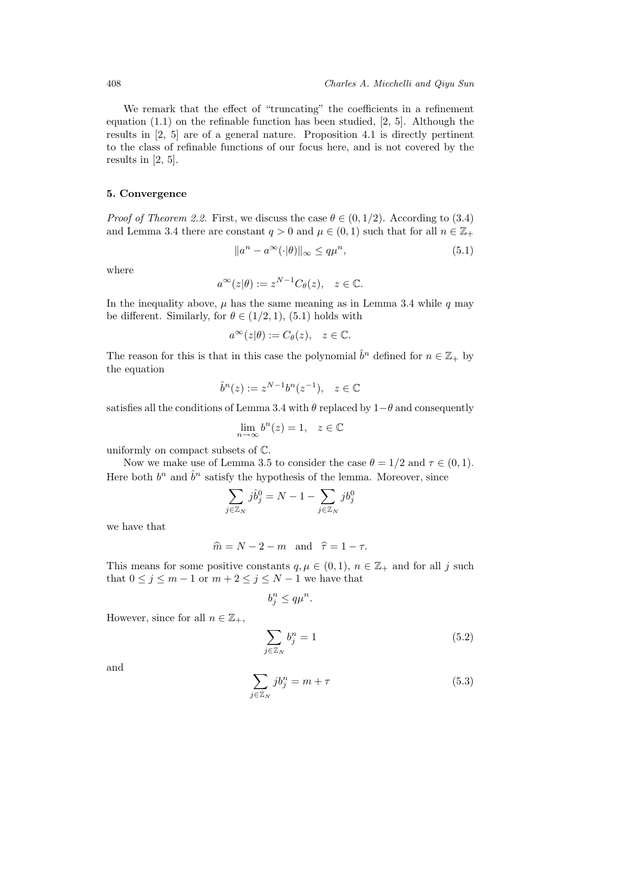We remark that the effect of "truncating" the coefficients in a refinement equation (1.1) on the refinable function has been studied, [2, 5]. Although the results in [2, 5] are of a general nature. Proposition 4.1 is directly pertinent to the class of refinable functions of our focus here, and is not covered by the results in [2, 5].

### **5. Convergence**

*Proof of Theorem 2.2.* First, we discuss the case  $\theta \in (0, 1/2)$ . According to (3.4) and Lemma 3.4 there are constant  $q > 0$  and  $\mu \in (0, 1)$  such that for all  $n \in \mathbb{Z}_+$ 

$$
||a^n - a^{\infty}(\cdot|\theta)||_{\infty} \le q\mu^n,
$$
\n(5.1)

where

$$
a^{\infty}(z|\theta) := z^{N-1}C_{\theta}(z), \quad z \in \mathbb{C}.
$$

In the inequality above,  $\mu$  has the same meaning as in Lemma 3.4 while q may be different. Similarly, for  $\theta \in (1/2, 1)$ , (5.1) holds with

$$
a^{\infty}(z|\theta) := C_{\theta}(z), \quad z \in \mathbb{C}.
$$

The reason for this is that in this case the polynomial  $\hat{b}^n$  defined for  $n \in \mathbb{Z}_+$  by the equation

$$
\hat{b}^n(z) := z^{N-1}b^n(z^{-1}), \quad z \in \mathbb{C}
$$

satisfies all the conditions of Lemma 3.4 with  $\theta$  replaced by 1– $\theta$  and consequently

$$
\lim_{n \to \infty} b^n(z) = 1, \quad z \in \mathbb{C}
$$

uniformly on compact subsets of C.

Now we make use of Lemma 3.5 to consider the case  $\theta = 1/2$  and  $\tau \in (0, 1)$ . Here both  $b^n$  and  $\hat{b}^n$  satisfy the hypothesis of the lemma. Moreover, since

$$
\sum_{j\in\mathbb{Z}_N} j\hat{b}_j^0 = N-1-\sum_{j\in\mathbb{Z}_N} jb_j^0
$$

we have that

$$
\widehat{m} = N - 2 - m \quad \text{and} \quad \widehat{\tau} = 1 - \tau.
$$

This means for some positive constants  $q, \mu \in (0, 1)$ ,  $n \in \mathbb{Z}_+$  and for all j such that  $0 \le j \le m-1$  or  $m+2 \le j \le N-1$  we have that

$$
b_j^n \le q \mu^n.
$$

However, since for all  $n \in \mathbb{Z}_+$ ,

$$
\sum_{j \in \mathbb{Z}_N} b_j^n = 1 \tag{5.2}
$$

and

$$
\sum_{j \in \mathbb{Z}_N} jb_j^n = m + \tau \tag{5.3}
$$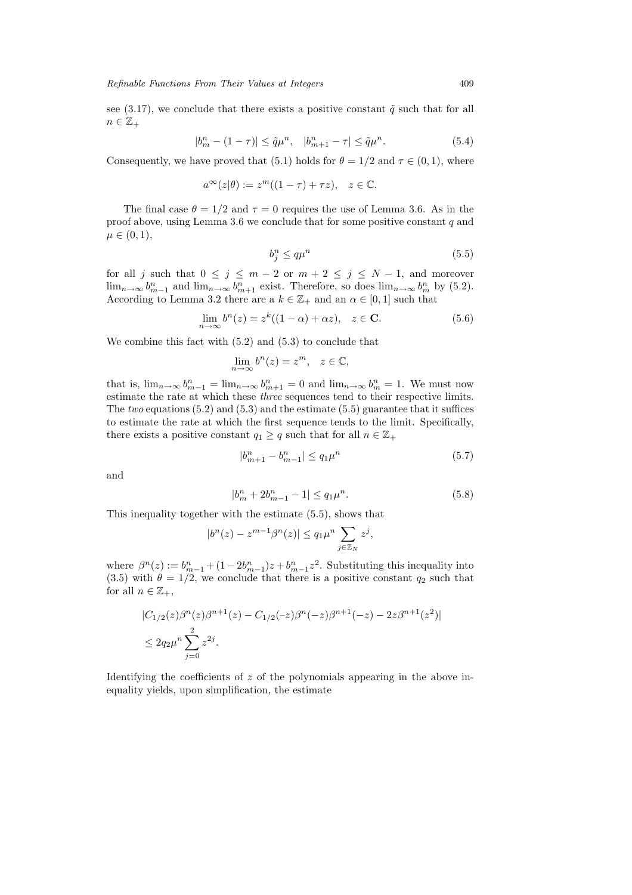see (3.17), we conclude that there exists a positive constant  $\tilde{q}$  such that for all  $n \in \mathbb{Z}_+$ 

$$
|b_m^n - (1 - \tau)| \le \tilde{q}\mu^n, \quad |b_{m+1}^n - \tau| \le \tilde{q}\mu^n. \tag{5.4}
$$

Consequently, we have proved that (5.1) holds for  $\theta = 1/2$  and  $\tau \in (0, 1)$ , where

$$
a^{\infty}(z|\theta) := z^m((1-\tau) + \tau z), \quad z \in \mathbb{C}.
$$

The final case  $\theta = 1/2$  and  $\tau = 0$  requires the use of Lemma 3.6. As in the proof above, using Lemma 3.6 we conclude that for some positive constant  $q$  and  $\mu \in (0, 1),$ 

$$
b_i^n \le q \mu^n \tag{5.5}
$$

for all j such that  $0 \le j \le m-2$  or  $m+2 \le j \le N-1$ , and moreover  $\lim_{n\to\infty} b_{m-1}^n$  and  $\lim_{n\to\infty} b_{m+1}^n$  exist. Therefore, so does  $\lim_{n\to\infty} b_m^n$  by (5.2). According to Lemma 3.2 there are a  $k \in \mathbb{Z}_+$  and an  $\alpha \in [0,1]$  such that

$$
\lim_{n \to \infty} b^n(z) = z^k((1 - \alpha) + \alpha z), \quad z \in \mathbf{C}.\tag{5.6}
$$

We combine this fact with (5.2) and (5.3) to conclude that

$$
\lim_{n \to \infty} b^n(z) = z^m, \quad z \in \mathbb{C},
$$

that is,  $\lim_{n\to\infty} b_{m-1}^n = \lim_{n\to\infty} b_{m+1}^n = 0$  and  $\lim_{n\to\infty} b_m^n = 1$ . We must now estimate the rate at which these *three* sequences tend to their respective limits. The *two* equations (5.2) and (5.3) and the estimate (5.5) guarantee that it suffices to estimate the rate at which the first sequence tends to the limit. Specifically, there exists a positive constant  $q_1 \geq q$  such that for all  $n \in \mathbb{Z}_+$ 

$$
|b_{m+1}^n - b_{m-1}^n| \le q_1 \mu^n \tag{5.7}
$$

and

$$
|b_m^n + 2b_{m-1}^n - 1| \le q_1 \mu^n. \tag{5.8}
$$

This inequality together with the estimate (5.5), shows that

$$
|b^n(z) - z^{m-1}\beta^n(z)| \le q_1 \mu^n \sum_{j \in \mathbb{Z}_N} z^j,
$$

where  $\beta^{n}(z) := b_{m-1}^{n} + (1 - 2b_{m-1}^{n})z + b_{m-1}^{n}z^{2}$ . Substituting this inequality into (3.5) with  $\theta = 1/2$ , we conclude that there is a positive constant  $q_2$  such that for all  $n \in \mathbb{Z}_+,$ 

$$
|C_{1/2}(z)\beta^n(z)\beta^{n+1}(z) - C_{1/2}(-z)\beta^n(-z)\beta^{n+1}(-z) - 2z\beta^{n+1}(z^2)|
$$
  

$$
\leq 2q_2\mu^n \sum_{j=0}^2 z^{2j}.
$$

Identifying the coefficients of z of the polynomials appearing in the above inequality yields, upon simplification, the estimate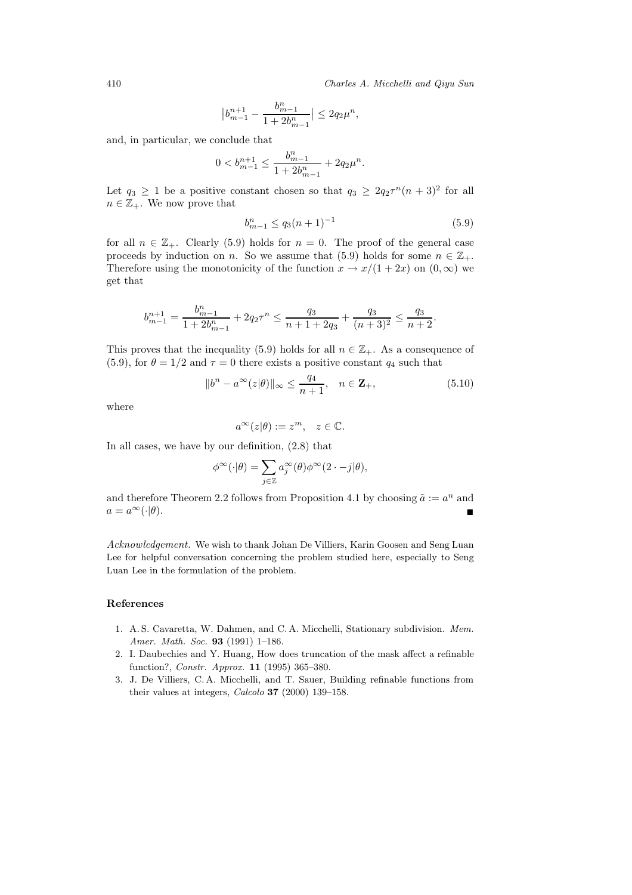410 *Charles A. Micchelli and Qiyu Sun*

$$
\big|b_{m-1}^{n+1}-\frac{b_{m-1}^n}{1+2b_{m-1}^n}\big|\leq 2q_2\mu^n,
$$

and, in particular, we conclude that

$$
0 < b_{m-1}^{n+1} \le \frac{b_{m-1}^n}{1 + 2b_{m-1}^n} + 2q_2\mu^n.
$$

Let  $q_3 \geq 1$  be a positive constant chosen so that  $q_3 \geq 2q_2\tau^n(n+3)^2$  for all  $n \in \mathbb{Z}_+$ . We now prove that

$$
b_{m-1}^n \le q_3(n+1)^{-1} \tag{5.9}
$$

for all  $n \in \mathbb{Z}_+$ . Clearly (5.9) holds for  $n = 0$ . The proof of the general case proceeds by induction on n. So we assume that (5.9) holds for some  $n \in \mathbb{Z}_+$ . Therefore using the monotonicity of the function  $x \to x/(1+2x)$  on  $(0,\infty)$  we get that

$$
b_{m-1}^{n+1} = \frac{b_{m-1}^n}{1 + 2b_{m-1}^n} + 2q_2\tau^n \le \frac{q_3}{n+1 + 2q_3} + \frac{q_3}{(n+3)^2} \le \frac{q_3}{n+2}.
$$

This proves that the inequality (5.9) holds for all  $n \in \mathbb{Z}_+$ . As a consequence of (5.9), for  $\theta = 1/2$  and  $\tau = 0$  there exists a positive constant  $q_4$  such that

$$
||b^n - a^{\infty}(z|\theta)||_{\infty} \le \frac{q_4}{n+1}, \quad n \in \mathbf{Z}_+, \tag{5.10}
$$

where

$$
a^{\infty}(z|\theta) := z^m, \quad z \in \mathbb{C}.
$$

In all cases, we have by our definition, (2.8) that

$$
\phi^{\infty}(\cdot|\theta) = \sum_{j\in\mathbb{Z}} a_j^{\infty}(\theta)\phi^{\infty}(2\cdot-j|\theta),
$$

and therefore Theorem 2.2 follows from Proposition 4.1 by choosing  $\tilde{a} := a^n$  and  $a = a^{\infty}(\cdot | \theta).$ 

*Acknowledgement.* We wish to thank Johan De Villiers, Karin Goosen and Seng Luan Lee for helpful conversation concerning the problem studied here, especially to Seng Luan Lee in the formulation of the problem.

## **References**

- 1. A. S. Cavaretta, W. Dahmen, and C. A. Micchelli, Stationary subdivision. *Mem. Amer. Math. Soc.* **93** (1991) 1–186.
- 2. I. Daubechies and Y. Huang, How does truncation of the mask affect a refinable function?, *Constr. Approx.* **11** (1995) 365–380.
- 3. J. De Villiers, C. A. Micchelli, and T. Sauer, Building refinable functions from their values at integers, *Calcolo* **37** (2000) 139–158.